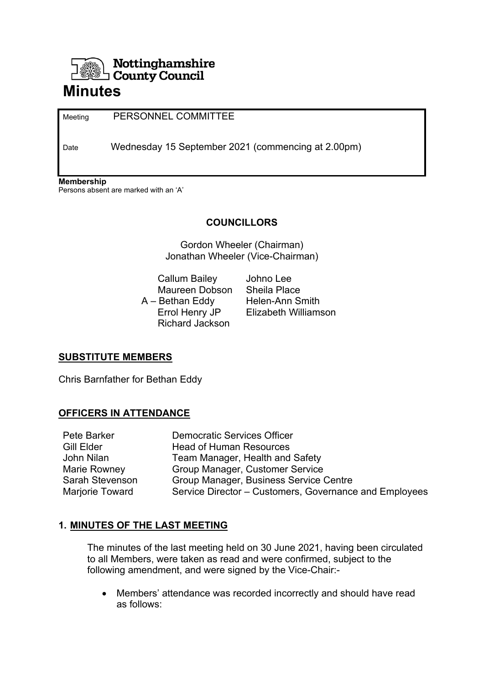

Meeting PERSONNEL COMMITTEE

Date Wednesday 15 September 2021 (commencing at 2.00pm)

**Membership** 

Persons absent are marked with an 'A'

# **COUNCILLORS**

Gordon Wheeler (Chairman) Jonathan Wheeler (Vice-Chairman)

 Callum Bailey Johno Lee Maureen Dobson Sheila Place A – Bethan Eddy Helen-Ann Smith Richard Jackson

Errol Henry JP Elizabeth Williamson

# **SUBSTITUTE MEMBERS**

Chris Barnfather for Bethan Eddy

# **OFFICERS IN ATTENDANCE**

| Pete Barker     | <b>Democratic Services Officer</b>                     |
|-----------------|--------------------------------------------------------|
| Gill Elder      | <b>Head of Human Resources</b>                         |
| John Nilan      | Team Manager, Health and Safety                        |
| Marie Rowney    | Group Manager, Customer Service                        |
| Sarah Stevenson | Group Manager, Business Service Centre                 |
| Marjorie Toward | Service Director - Customers, Governance and Employees |

# **1. MINUTES OF THE LAST MEETING**

The minutes of the last meeting held on 30 June 2021, having been circulated to all Members, were taken as read and were confirmed, subject to the following amendment, and were signed by the Vice-Chair:-

 Members' attendance was recorded incorrectly and should have read as follows: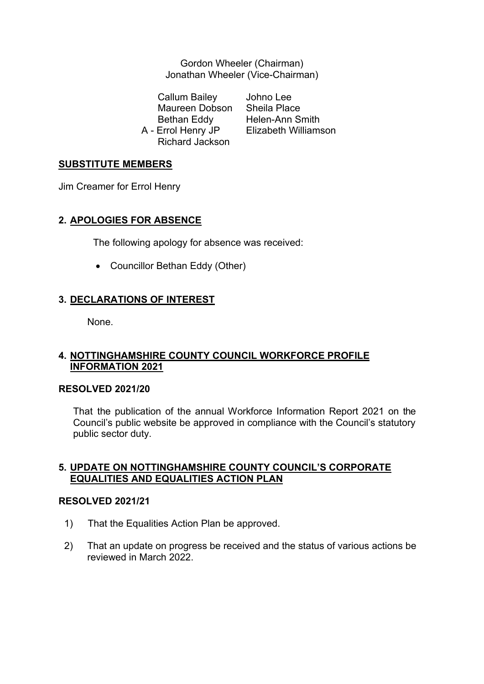Gordon Wheeler (Chairman) Jonathan Wheeler (Vice-Chairman)

 Callum Bailey Johno Lee Maureen Dobson Sheila Place Bethan Eddy Helen-Ann Smith Richard Jackson

A - Errol Henry JP Elizabeth Williamson

## **SUBSTITUTE MEMBERS**

Jim Creamer for Errol Henry

## **2. APOLOGIES FOR ABSENCE**

The following apology for absence was received:

• Councillor Bethan Eddy (Other)

# **3. DECLARATIONS OF INTEREST**

None.

## **4. NOTTINGHAMSHIRE COUNTY COUNCIL WORKFORCE PROFILE INFORMATION 2021**

#### **RESOLVED 2021/20**

That the publication of the annual Workforce Information Report 2021 on the Council's public website be approved in compliance with the Council's statutory public sector duty.

## **5. UPDATE ON NOTTINGHAMSHIRE COUNTY COUNCIL'S CORPORATE EQUALITIES AND EQUALITIES ACTION PLAN**

#### **RESOLVED 2021/21**

- 1) That the Equalities Action Plan be approved.
- 2) That an update on progress be received and the status of various actions be reviewed in March 2022.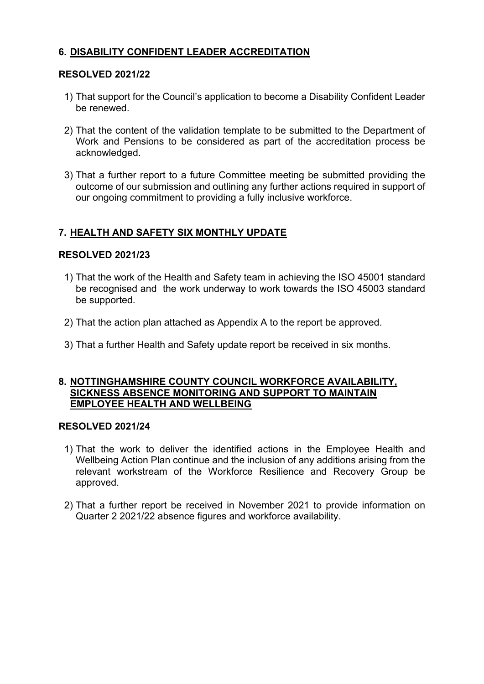# **6. DISABILITY CONFIDENT LEADER ACCREDITATION**

## **RESOLVED 2021/22**

- 1) That support for the Council's application to become a Disability Confident Leader be renewed.
- 2) That the content of the validation template to be submitted to the Department of Work and Pensions to be considered as part of the accreditation process be acknowledged.
- 3) That a further report to a future Committee meeting be submitted providing the outcome of our submission and outlining any further actions required in support of our ongoing commitment to providing a fully inclusive workforce.

# **7. HEALTH AND SAFETY SIX MONTHLY UPDATE**

## **RESOLVED 2021/23**

- 1) That the work of the Health and Safety team in achieving the ISO 45001 standard be recognised and the work underway to work towards the ISO 45003 standard be supported.
- 2) That the action plan attached as Appendix A to the report be approved.
- 3) That a further Health and Safety update report be received in six months.

## **8. NOTTINGHAMSHIRE COUNTY COUNCIL WORKFORCE AVAILABILITY, SICKNESS ABSENCE MONITORING AND SUPPORT TO MAINTAIN EMPLOYEE HEALTH AND WELLBEING**

## **RESOLVED 2021/24**

- 1) That the work to deliver the identified actions in the Employee Health and Wellbeing Action Plan continue and the inclusion of any additions arising from the relevant workstream of the Workforce Resilience and Recovery Group be approved.
- 2) That a further report be received in November 2021 to provide information on Quarter 2 2021/22 absence figures and workforce availability.